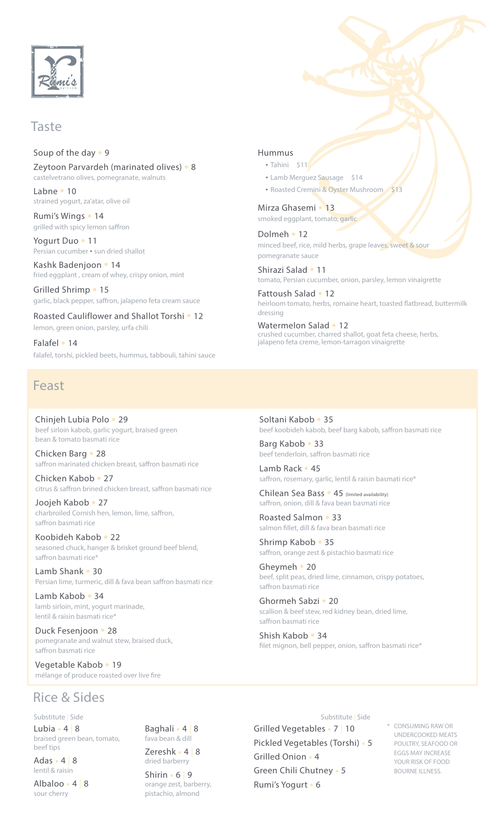

### Taste

### Soup of the day  $\cdot$  9

Zeytoon Parvardeh (marinated olives) · 8 castelvetrano olives, pomegranate, walnuts

Labne • 10 strained yogurt, za'atar, olive oil

Rumi's Wings • 14 grilled with spicy lemon saffron

Yogurt Duo • 11 Persian cucumber • sun dried shallot

Kashk Badenjoon • 14 fried eggplant, cream of whey, crispy onion, mint

Grilled Shrimp • 15 garlic, black pepper, saffron, jalapeno feta cream sauce

Roasted Cauliflower and Shallot Torshi . 12 lemon, green onion, parsley, urfa chili

Falafel • 14 falafel, torshi, pickled beets, hummus, tabbouli, tahini sauce

## Feast

Chinjeh Lubia Polo • 29 beef sirloin kabob, garlic yogurt, braised green bean & tomato basmati rice

Chicken Barg • 28 saffron marinated chicken breast, saffron basmati rice

Chicken Kabob • 27 citrus & saffron brined chicken breast, saffron basmati rice

Joojeh Kabob • 27 charbroiled Cornish hen, lemon, lime, saffron, saffron basmati rice

Koobideh Kabob • 22 seasoned chuck, hanger & brisket ground beef blend, saffron basmati rice\*

Lamb Shank • 30 Persian lime, turmeric, dill & fava bean saffron basmati rice

Lamb Kabob • 34 lamb sirloin, mint, yogurt marinade, lentil & raisin basmati rice<sup>®</sup>

Duck Fesenjoon • 28 pomegranate and walnut stew, braised duck, saffron basmati rice

Vegetable Kabob • 19 mélange of produce roasted over live fire

### Hummus

- Tahini \$11
- Lamb Merguez Sausage \$14
- Roasted Cremini & Oyster Mushroom

Mirza Ghasemi • 13 smoked eggplant, tomato, garlic

Dolmeh • 12 minced beef, rice, mild herbs, grape leaves, sweet & sour pomegranate sauce

Shirazi Salad • 11 tomato, Persian cucumber, onion, parsley, lemon vinaigrette

Fattoush Salad • 12 heirloom tomato, herbs, romaine heart, toasted flatbread, buttermilk dressing

Watermelon Salad • 12 crushed cucumber, charred shallot, goat feta cheese, herbs, jalapeno feta creme, lemon-tarragon vinaigrette

### Soltani Kabob • 35 beef koobideh kabob, beef barg kabob, saffron basmati rice

Barg Kabob • 33 beef tenderloin, saffron basmati rice

 $I$  amb Rack  $\bullet$  45 saffron, rosemary, garlic, lentil & raisin basmati rice\*

Chilean Sea Bass • 45 (limited availability) saffron, onion, dill & fava bean basmati rice

Roasted Salmon • 33 salmon fillet, dill & fava bean basmati rice

Shrimp Kabob • 35 saffron, orange zest & pistachio basmati rice

Gheymeh • 20 beef, split peas, dried lime, cinnamon, crispy potatoes, saffron basmati rice

Ghormeh Sabzi • 20 scallion & beef stew, red kidney bean, dried lime, saffron basmati rice

Shish Kabob • 34 filet mignon, bell pepper, onion, saffron basmati rice\*

## Rice & Sides

Substitute | Side

Lubia  $\cdot$  4 | 8 braised green bean, tomato, beef tips

Adas  $\cdot$  4 8 lentil & raisin

Albaloo · 4 8 sour cherry

Baghali · 4 8 fava bean & dill Zereshk · 4 | 8

dried barberry  $Shirin 6 | 9$ orange zest, barberry, pistachio, almond

#### Substitute | Side

Grilled Vegetables • 7 | 10 Pickled Vegetables (Torshi) · 5 Grilled Onion . 4 Green Chili Chutney . 5 Rumi's Yogurt • 6

CONSUMING RAW OR UNDERCOOKED MEATS POULTRY, SEAFOOD OR EGGS MAY INCREASE YOUR RISK OF FOOD BOURNE ILLNESS.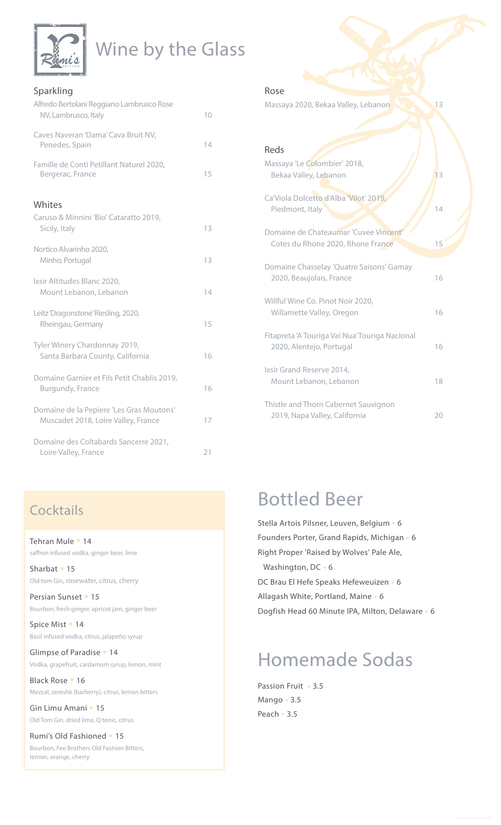| <u>ımi</u><br>x<br>KITCHEN |
|----------------------------|
|                            |

## Wine by the Glass

| Sparkling                                                                       |    |
|---------------------------------------------------------------------------------|----|
| Alfredo Bertolani Reggiano Lambrusco Rose<br>NV, Lambrusco, Italy               | 10 |
| Caves Naveran 'Dama' Cava Bruit NV,<br>Penedes, Spain                           | 14 |
| Famille de Conti Petillant Naturel 2020,<br>Bergerac, France                    | 15 |
| Whites                                                                          |    |
| Caruso & Minnini 'Bio' Cataratto 2019,<br>Sicily, Italy                         | 13 |
| Nortico Alvarinho 2020,<br>Minho, Portugal                                      | 13 |
| Ixsir Altitudes Blanc 2020,<br>Mount Lebanon, Lebanon                           | 14 |
| Leitz 'Dragonstone' Riesling, 2020,<br>Rheingau, Germany                        | 15 |
| Tyler Winery Chardonnay 2019,<br>Santa Barbara County, California               | 16 |
| Domaine Garnier et Fils Petit Chablis 2019,<br>Burgundy, France                 | 16 |
| Domaine de la Pepiere 'Les Gras Moutons'<br>Muscadet 2018, Loire Valley, France | 17 |
| Domaine des Coltabards Sancerre 2021,<br>Loire Valley, France                   | 21 |

## **Cocktails**

### Tehran Mule • 14 saffron infused vodka, ginger beer, lime

Sharbat • 15 Old tom Gin, rosewater, citrus, cherry

Persian Sunset • 15 Bourbon, fresh ginger, apricot jam, ginger beer

Spice Mist • 14 Basil infused vodka, citrus, jalapeño syrup

Glimpse of Paradise • 14 Vodka, grapefruit, cardamom syrup, lemon, mint

Black Rose • 16 Mezcal, zereshk (barberry), citrus, lemon bitters

Gin Limu Amani • 15 Old Tom Gin, dried lime, Q tonic, citrus

Rumi's Old Fashioned <sup>o</sup> 15 Bourbon, Fee Brothers Old Fashion Bitters, lemon, orange, cherry

### Rose

Massaya 2020, Bekaa Valley, Lebanon **13** 13

| Reds                                                                       |    |
|----------------------------------------------------------------------------|----|
| Massaya 'Le Colombier' 2018,<br>Bekaa Valley, Lebanon                      | 13 |
| Ca'Viola Dolcetto d'Alba 'Vilot' 2019,<br>Piedmont, Italy                  | 14 |
| Domaine de Chateaumar 'Cuvee Vincent'<br>Cotes du Rhone 2020, Rhone France | 15 |
| Domaine Chasselay 'Quatre Saisons' Gamay<br>2020, Beaujolais, France       | 16 |
| Willful Wine Co. Pinot Noir 2020,<br>Willamette Valley, Oregon             | 16 |
| Fitapreta 'A Touriga Vai Nua' Touriga Nacional<br>2020, Alentejo, Portugal | 16 |
| Ixsir Grand Reserve 2014,<br>Mount Lebanon, Lebanon                        | 18 |
| Thistle and Thorn Cabernet Sauvignon<br>2019, Napa Valley, California      | 20 |

## **Bottled Beer**

Stella Artois Pilsner, Leuven, Belgium · 6 Founders Porter, Grand Rapids, Michigan . 6 Right Proper 'Raised by Wolves' Pale Ale, Washington, DC · 6 DC Brau El Hefe Speaks Hefeweuizen • 6 Allagash White, Portland, Maine • 6 Dogfish Head 60 Minute IPA, Milton, Delaware . 6

# Homemade Sodas

Passion Fruit • 3.5 Mango · 3.5 Peach . 3.5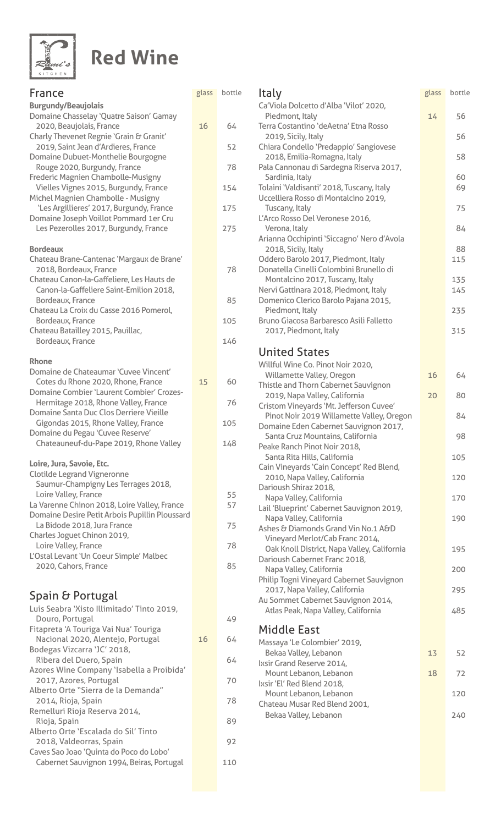

# **Red Wine**

| France                                                                                   | glass | bott |
|------------------------------------------------------------------------------------------|-------|------|
| <b>Burgundy/Beaujolais</b>                                                               |       |      |
| Domaine Chasselay 'Quatre Saison' Gamay<br>2020, Beaujolais, France                      | 16    | 64   |
| Charly Thevenet Regnie 'Grain & Granit'                                                  |       |      |
| 2019, Saint Jean d'Ardieres, France                                                      |       | 52   |
| Domaine Dubuet-Monthelie Bourgogne<br>Rouge 2020, Burgundy, France                       |       | 78   |
| Frederic Magnien Chambolle-Musigny                                                       |       |      |
| Vielles Vignes 2015, Burgundy, France                                                    |       | 154  |
| Michel Magnien Chambolle - Musigny<br>'Les Argillieres' 2017, Burgundy, France           |       | 175  |
| Domaine Joseph Voillot Pommard 1er Cru                                                   |       |      |
| Les Pezerolles 2017, Burgundy, France                                                    |       | 275  |
| <b>Bordeaux</b>                                                                          |       |      |
| Chateau Brane-Cantenac 'Margaux de Brane'                                                |       |      |
| 2018, Bordeaux, France                                                                   |       | 78   |
| Chateau Canon-la-Gaffeliere, Les Hauts de<br>Canon-la-Gaffeliere Saint-Emilion 2018,     |       |      |
| Bordeaux, France                                                                         |       | 85   |
| Chateau La Croix du Casse 2016 Pomerol,<br>Bordeaux, France                              |       |      |
| Chateau Batailley 2015, Pauillac,                                                        |       | 105  |
| Bordeaux, France                                                                         |       | 146  |
| <b>Rhone</b>                                                                             |       |      |
| Domaine de Chateaumar 'Cuvee Vincent'                                                    |       |      |
| Cotes du Rhone 2020, Rhone, France                                                       | 15    | 60   |
| <b>Domaine Combier 'Laurent Combier' Crozes-</b><br>Hermitage 2018, Rhone Valley, France |       | 76   |
| Domaine Santa Duc Clos Derriere Vieille                                                  |       |      |
| Gigondas 2015, Rhone Valley, France                                                      |       | 105  |
| Domaine du Pegau 'Cuvee Reserve'<br>Chateauneuf-du-Pape 2019, Rhone Valley               |       | 148  |
|                                                                                          |       |      |
| Loire, Jura, Savoie, Etc.                                                                |       |      |
| <b>Clotilde Legrand Vigneronne</b><br>Saumur-Champigny Les Terrages 2018,                |       |      |
| Loire Valley, France                                                                     |       | 55   |
| La Varenne Chinon 2018, Loire Valley, France                                             |       | 57   |
| Domaine Desire Petit Arbois Pupillin Ploussard<br>La Bidode 2018, Jura France            |       | 75   |
| Charles Joguet Chinon 2019,                                                              |       |      |
| Loire Valley, France                                                                     |       | 78   |
| L'Ostal Levant 'Un Coeur Simple' Malbec<br>2020, Cahors, France                          |       | 85   |
|                                                                                          |       |      |
| Spain & Portugal                                                                         |       |      |
| Luis Seabra 'Xisto Illimitado' Tinto 2019,                                               |       |      |
| Douro, Portugal                                                                          |       | 49   |
| Fitapreta 'A Touriga Vai Nua' Touriga                                                    |       |      |
| Nacional 2020, Alentejo, Portugal<br>Bodegas Vizcarra 'JC' 2018,                         | 16    | 64   |
| Ribera del Duero, Spain                                                                  |       | 64   |
| Azores Wine Company 'Isabella a Proibida'                                                |       |      |
| 2017, Azores, Portugal<br>Alberto Orte "Sierra de la Demanda"                            |       | 70   |
| 2014, Rioja, Spain                                                                       |       | 78   |
| Remelluri Rioja Reserva 2014,                                                            |       |      |
| Rioja, Spain<br>Alberto Orte 'Escalada do Sil' Tinto                                     |       | 89   |
| 2018, Valdeorras, Spain                                                                  |       | 92   |
| Caves Sao Joao 'Quinta do Poco do Lobo'<br>Cabernet Sauvignon 1994, Beiras, Portugal     |       | 110  |
|                                                                                          |       |      |

| glass | bottle | Italy<br>Ca'Viola Dolcetto d'Alba 'Vilot' 2020,                                   | glass | bottle     |
|-------|--------|-----------------------------------------------------------------------------------|-------|------------|
|       | 64     | Piedmont, Italy<br>Terra Costantino 'deAetna' Etna Rosso                          | 14    | 56         |
| 16    |        | 2019, Sicily, Italy                                                               |       | 56         |
|       | 52     | Chiara Condello 'Predappio' Sangiovese<br>2018, Emilia-Romagna, Italy             |       | 58         |
|       | 78     | Pala Cannonau di Sardegna Riserva 2017,<br>Sardinia, Italy                        |       | 60         |
|       | 154    | Tolaini 'Valdisanti' 2018, Tuscany, Italy<br>Uccelliera Rosso di Montalcino 2019, |       | 69         |
|       | 175    | Tuscany, Italy<br>L'Arco Rosso Del Veronese 2016,                                 |       | 75         |
|       | 275    | Verona, Italy<br>Arianna Occhipinti 'Siccagno' Nero d'Avola                       |       | 84         |
|       |        | 2018, Sicily, Italy                                                               |       | 88         |
|       | 78     | Oddero Barolo 2017, Piedmont, Italy<br>Donatella Cinelli Colombini Brunello di    |       | 115        |
|       |        | Montalcino 2017, Tuscany, Italy<br>Nervi Gattinara 2018, Piedmont, Italy          |       | 135<br>145 |
|       | 85     | Domenico Clerico Barolo Pajana 2015,<br>Piedmont, Italy                           |       | 235        |
|       | 105    | Bruno Giacosa Barbaresco Asili Falletto<br>2017, Piedmont, Italy                  |       | 315        |
|       | 146    |                                                                                   |       |            |
|       |        | <b>United States</b><br>Willful Wine Co. Pinot Noir 2020,                         |       |            |
| 15    | 60     | Willamette Valley, Oregon<br>Thistle and Thorn Cabernet Sauvignon                 | 16    | 64         |
|       | 76     | 2019, Napa Valley, California<br>Cristom Vineyards 'Mt. Jefferson Cuvee'          | 20    | 80         |
|       | 105    | Pinot Noir 2019 Willamette Valley, Oregon                                         |       | 84         |
|       | 148    | Domaine Eden Cabernet Sauvignon 2017,<br>Santa Cruz Mountains, California         |       | 98         |
|       |        | Peake Ranch Pinot Noir 2018,<br>Santa Rita Hills, California                      |       | 105        |
|       |        | Cain Vineyards 'Cain Concept' Red Blend,<br>2010, Napa Valley, California         |       | 120        |
|       | 55     | Darioush Shiraz 2018,<br>Napa Valley, California                                  |       | 170        |
|       | 57     | Lail 'Blueprint' Cabernet Sauvignon 2019,<br>Napa Valley, California              |       | 190        |
|       | 75     | Ashes & Diamonds Grand Vin No.1 A&D                                               |       |            |
|       | 78     | Vineyard Merlot/Cab Franc 2014,<br>Oak Knoll District, Napa Valley, California    |       | 195        |
|       | 85     | Darioush Cabernet Franc 2018,<br>Napa Valley, California                          |       | 200        |
|       |        | Philip Togni Vineyard Cabernet Sauvignon<br>2017, Napa Valley, California         |       | 295        |
|       |        | Au Sommet Cabernet Sauvignon 2014,<br>Atlas Peak, Napa Valley, California         |       | 485        |
|       | 49     | <b>Middle East</b>                                                                |       |            |
| 16    | 64     | Massaya 'Le Colombier' 2019,                                                      |       |            |
|       | 64     | Bekaa Valley, Lebanon<br>Ixsir Grand Reserve 2014,                                | 13    | 52         |
|       | 70     | Mount Lebanon, Lebanon<br>Ixsir 'El' Red Blend 2018,                              | 18    | 72         |
|       | 78     | Mount Lebanon, Lebanon<br>Chateau Musar Red Blend 2001,                           |       | 120        |
|       | 89     | Bekaa Valley, Lebanon                                                             |       | 240        |
|       | റി     |                                                                                   |       |            |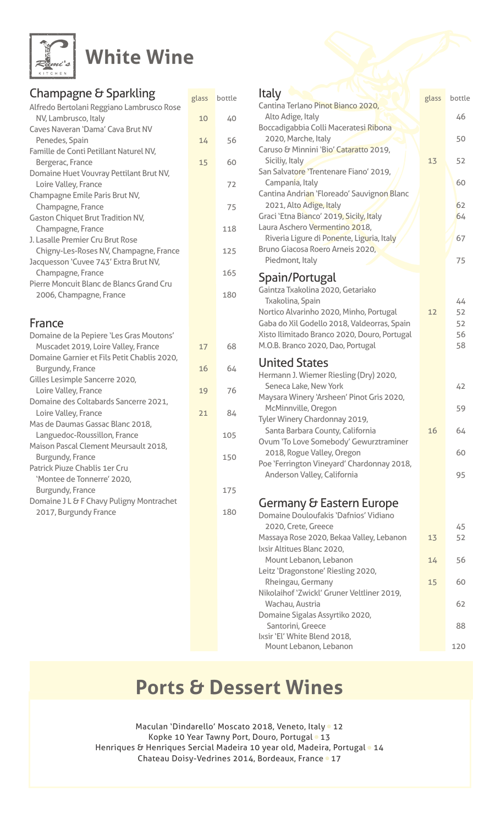

# **White Wine**

## Champagne & Sparkling

| סיייייים שיש יש ביינק ביוון ייש                               | glass | bottle |
|---------------------------------------------------------------|-------|--------|
| Alfredo Bertolani Reggiano Lambrusco Rose                     |       |        |
| NV, Lambrusco, Italy                                          | 10    | 40     |
| Caves Naveran 'Dama' Cava Brut NV                             |       |        |
| Penedes, Spain                                                | 14    | 56     |
| Famille de Conti Petillant Naturel NV,                        |       |        |
| Bergerac, France                                              | 15    | 60     |
| Domaine Huet Vouvray Pettilant Brut NV,                       |       |        |
| Loire Valley, France                                          |       | 72     |
| Champagne Emile Paris Brut NV,                                |       |        |
| Champagne, France<br><b>Gaston Chiquet Brut Tradition NV,</b> |       | 75     |
| Champagne, France                                             |       | 118    |
| J. Lasalle Premier Cru Brut Rose                              |       |        |
| Chigny-Les-Roses NV, Champagne, France                        |       | 125    |
| Jacquesson 'Cuvee 743' Extra Brut NV,                         |       |        |
| Champagne, France                                             |       | 165    |
| Pierre Moncuit Blanc de Blancs Grand Cru                      |       |        |
| 2006, Champagne, France                                       |       | 180    |
|                                                               |       |        |
|                                                               |       |        |
| France                                                        |       |        |
| Domaine de la Pepiere 'Les Gras Moutons'                      |       |        |
| Muscadet 2019, Loire Valley, France                           | 17    | 68     |
| Domaine Garnier et Fils Petit Chablis 2020,                   |       |        |
| Burgundy, France<br>Gilles Lesimple Sancerre 2020,            | 16    | 64     |
| Loire Valley, France                                          | 19    | 76     |
| Domaine des Coltabards Sancerre 2021,                         |       |        |
| Loire Valley, France                                          | 21    | 84     |
| Mas de Daumas Gassac Blanc 2018,                              |       |        |
| Languedoc-Roussillon, France                                  |       | 105    |
| Maison Pascal Clement Meursault 2018,                         |       |        |
| Burgundy, France                                              |       | 150    |
| Patrick Piuze Chablis 1er Cru                                 |       |        |
| 'Montee de Tonnerre' 2020,                                    |       |        |
| Burgundy, France                                              |       | 175    |
| Domaine J L & F Chavy Puligny Montrachet                      |       |        |
| 2017, Burgundy France                                         |       | 180    |
|                                                               |       |        |

### glass bottle **glass** bottle glass bottle Italy Cantina Terlano Pinot Bianco 2020, Alto Adige, Italy **1999** Alto Adige, 1 Boccadigabbia Colli Maceratesi Ribona **100 2020, Marche, Italy 100 2020, Marche, Italy** Caruso & Minnini 'Bio' Cataratto 2019, Siciliy, Italy **13** 52 San Salvatore 'Trentenare Fiano' 2019, Campania, Italy , and Italy , the contract of the contract of the contract of the contract of the contract of the contract of the contract of the contract of the contract of the contract of the contract of the contract of Cantina Andrian 'Floreado' Sauvignon Blanc 2021, Alto Adige, Italy  $\sqrt{1}$  62 Graci 'Etna Bianco' 2019, Sicily, Italy **1988** 1988 1989 Laura Aschero Vermentino 2018, Riveria Ligure di Ponente, Liguria, Italy / **1988** 1976 Bruno Giacosa Roero Arneis 2020, Piedmont, Italy 75 Spain/Portugal Gaintza Txakolina 2020, Getariako **Txakolina, Spain** Martin Martin Martin Martin Martin Martin Martin Martin Martin Martin Martin Martin Martin Ma Nortico Alvarinho 2020, Minho, Portugal 12 52 Gaba do Xil Godello 2018, Valdeorras, Spain 52 Xisto Ilimitado Branco 2020, Douro, Portugal **1988** 56 M.O.B. Branco 2020, Dao, Portugal **1988** 1988 1989 **United States** Hermann J. Wiemer Riesling (Dry) 2020, **Example 20 York Seneca Lake, New York Seneca Lake Senecal Contract Contract Ave** Maysara Winery 'Arsheen' Pinot Gris 2020, McMinnville, Oregon **McMinnville**, Oregon **1988** Tyler Winery Chardonnay 2019, 64 16 California ,County Barbara Santa Ovum 'To Love Somebody' Gewurztraminer 2018, Rogue Valley, Oregon **Canadian Contract Contract Contract Contract Contract Contract Contract Contract Co** Poe 'Ferrington Vineyard' Chardonnay 2018, Anderson Valley, California **Matterson Valley** Anderson Valley, California Germany & Eastern Europe Domaine Douloufakis 'Dafnios' Vidiano 2020, Crete, Greece 45 Massaya Rose 2020, Bekaa Valley, Lebanon 13 52 Ixsir Altitues Blanc 2020, Mount Lebanon, Lebanon **14 14 56** Leitz 'Dragonstone' Riesling 2020, Rheingau, Germany 15 60 Nikolaihof 'Zwickl' Gruner Veltliner 2019, Wachau, Austria (1989) 62 Domaine Sigalas Assyrtiko 2020, Santorini, Greece and Santorini, Greece and Santorini, Greece and Santonian Santonian Santonian Santonian Santo Ixsir 'El' White Blend 2018. Mount Lebanon, Lebanon Mount 120

# **Ports & Dessert Wines**

Maculan 'Dindarello' Moscato 2018, Veneto, Italy . 12 Kopke 10 Year Tawny Port, Douro, Portugal . 13 Henriques & Henriques Sercial Madeira 10 year old, Madeira, Portugal . 14 Chateau Doisy-Vedrines 2014, Bordeaux, France . 17